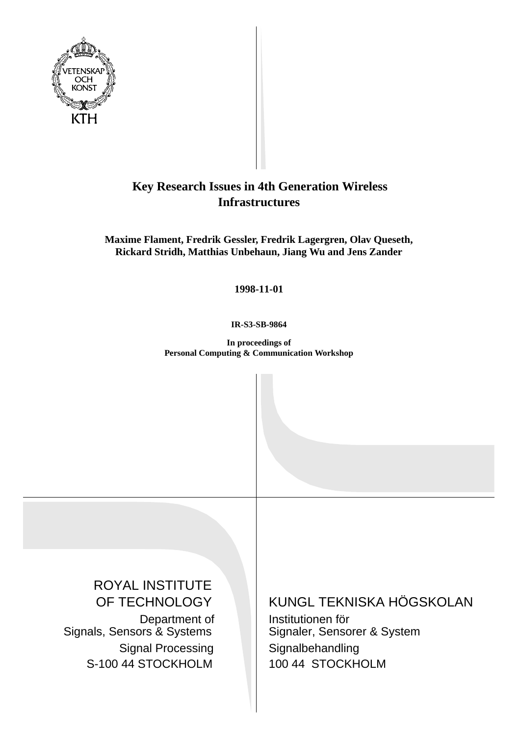

# **Key Research Issues in 4th Generation Wireless Infrastructures**

**Maxime Flament, Fredrik Gessler, Fredrik Lagergren, Olav Queseth, Rickard Stridh, Matthias Unbehaun, Jiang Wu and Jens Zander**

**1998-11-01**

**IR-S3-SB-9864**

**In proceedings of Personal Computing & Communication Workshop**

ROYAL INSTITUTE OF TECHNOLOGY Department of Signals, Sensors & Systems Signal Processing S-100 44 STOCKHOLM

KUNGL TEKNISKA HÖGSKOLAN

Institutionen för Signaler, Sensorer & System Signalbehandling 100 44 STOCKHOLM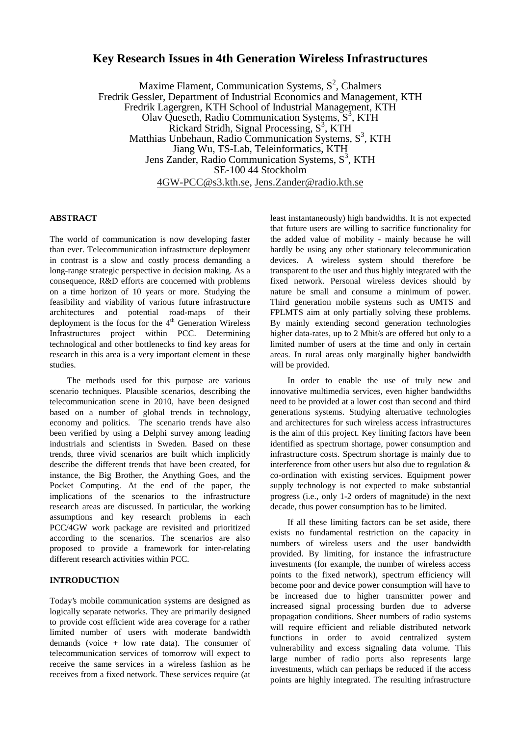# **Key Research Issues in 4th Generation Wireless Infrastructures**

Maxime Flament, Communication Systems,  $S^2$ , Chalmers Fredrik Gessler, Department of Industrial Economics and Management, KTH Fredrik Lagergren, KTH School of Industrial Management, KTH Olav Queseth, Radio Communication Systems, S<sup>3</sup>, KTH Rickard Stridh, Signal Processing,  $S<sup>3</sup>$ , KTH Matthias Unbehaun, Radio Communication Systems,  $S^3$ , KTH Jiang Wu, TS-Lab, Teleinformatics, KTH Jens Zander, Radio Communication Systems,  $S<sup>3</sup>$ , KTH SE-100 44 Stockholm 4GW-PCC@s3.kth.se, Jens.Zander@radio.kth.se

#### **ABSTRACT**

The world of communication is now developing faster than ever. Telecommunication infrastructure deployment in contrast is a slow and costly process demanding a long-range strategic perspective in decision making. As a consequence, R&D efforts are concerned with problems on a time horizon of 10 years or more. Studying the feasibility and viability of various future infrastructure architectures and potential road-maps of their deployment is the focus for the  $4<sup>th</sup>$  Generation Wireless Infrastructures project within PCC. Determining technological and other bottlenecks to find key areas for research in this area is a very important element in these studies.

The methods used for this purpose are various scenario techniques. Plausible scenarios, describing the telecommunication scene in 2010, have been designed based on a number of global trends in technology, economy and politics. The scenario trends have also been verified by using a Delphi survey among leading industrials and scientists in Sweden. Based on these trends, three vivid scenarios are built which implicitly describe the different trends that have been created, for instance, the Big Brother, the Anything Goes, and the Pocket Computing. At the end of the paper, the implications of the scenarios to the infrastructure research areas are discussed. In particular, the working assumptions and key research problems in each PCC/4GW work package are revisited and prioritized according to the scenarios. The scenarios are also proposed to provide a framework for inter-relating different research activities within PCC.

# **INTRODUCTION**

Today's mobile communication systems are designed as logically separate networks. They are primarily designed to provide cost efficient wide area coverage for a rather limited number of users with moderate bandwidth demands (voice + low rate data). The consumer of telecommunication services of tomorrow will expect to receive the same services in a wireless fashion as he receives from a fixed network. These services require (at least instantaneously) high bandwidths. It is not expected that future users are willing to sacrifice functionality for the added value of mobility - mainly because he will hardly be using any other stationary telecommunication devices. A wireless system should therefore be transparent to the user and thus highly integrated with the fixed network. Personal wireless devices should by nature be small and consume a minimum of power. Third generation mobile systems such as UMTS and FPLMTS aim at only partially solving these problems. By mainly extending second generation technologies higher data-rates, up to 2 Mbit/s are offered but only to a limited number of users at the time and only in certain areas. In rural areas only marginally higher bandwidth will be provided.

In order to enable the use of truly new and innovative multimedia services, even higher bandwidths need to be provided at a lower cost than second and third generations systems. Studying alternative technologies and architectures for such wireless access infrastructures is the aim of this project. Key limiting factors have been identified as spectrum shortage, power consumption and infrastructure costs. Spectrum shortage is mainly due to interference from other users but also due to regulation & co-ordination with existing services. Equipment power supply technology is not expected to make substantial progress (i.e., only 1-2 orders of magnitude) in the next decade, thus power consumption has to be limited.

If all these limiting factors can be set aside, there exists no fundamental restriction on the capacity in numbers of wireless users and the user bandwidth provided. By limiting, for instance the infrastructure investments (for example, the number of wireless access points to the fixed network), spectrum efficiency will become poor and device power consumption will have to be increased due to higher transmitter power and increased signal processing burden due to adverse propagation conditions. Sheer numbers of radio systems will require efficient and reliable distributed network functions in order to avoid centralized system vulnerability and excess signaling data volume. This large number of radio ports also represents large investments, which can perhaps be reduced if the access points are highly integrated. The resulting infrastructure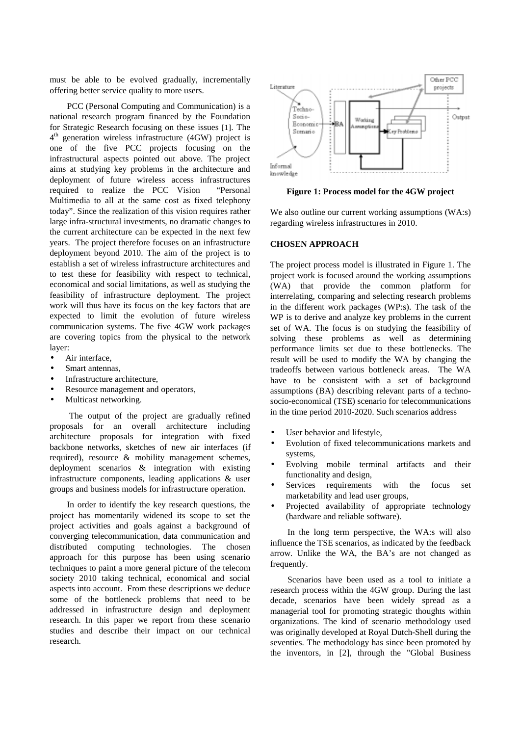must be able to be evolved gradually, incrementally offering better service quality to more users.

PCC (Personal Computing and Communication) is a national research program financed by the Foundation for Strategic Research focusing on these issues [1]. The  $4<sup>th</sup>$  generation wireless infrastructure (4GW) project is one of the five PCC projects focusing on the infrastructural aspects pointed out above. The project aims at studying key problems in the architecture and deployment of future wireless access infrastructures required to realize the PCC Vision "Personal Multimedia to all at the same cost as fixed telephony today". Since the realization of this vision requires rather large infra-structural investments, no dramatic changes to the current architecture can be expected in the next few years. The project therefore focuses on an infrastructure deployment beyond 2010. The aim of the project is to establish a set of wireless infrastructure architectures and to test these for feasibility with respect to technical, economical and social limitations, as well as studying the feasibility of infrastructure deployment. The project work will thus have its focus on the key factors that are expected to limit the evolution of future wireless communication systems. The five 4GW work packages are covering topics from the physical to the network layer:

- Air interface,
- Smart antennas,
- Infrastructure architecture.
- Resource management and operators,
- Multicast networking.

 The output of the project are gradually refined proposals for an overall architecture including architecture proposals for integration with fixed backbone networks, sketches of new air interfaces (if required), resource & mobility management schemes, deployment scenarios & integration with existing infrastructure components, leading applications & user groups and business models for infrastructure operation.

In order to identify the key research questions, the project has momentarily widened its scope to set the project activities and goals against a background of converging telecommunication, data communication and distributed computing technologies. The chosen approach for this purpose has been using scenario techniques to paint a more general picture of the telecom society 2010 taking technical, economical and social aspects into account. From these descriptions we deduce some of the bottleneck problems that need to be addressed in infrastructure design and deployment research. In this paper we report from these scenario studies and describe their impact on our technical research.



**Figure 1: Process model for the 4GW project**

We also outline our current working assumptions (WA:s) regarding wireless infrastructures in 2010.

#### **CHOSEN APPROACH**

The project process model is illustrated in Figure 1. The project work is focused around the working assumptions (WA) that provide the common platform for interrelating, comparing and selecting research problems in the different work packages (WP:s). The task of the WP is to derive and analyze key problems in the current set of WA. The focus is on studying the feasibility of solving these problems as well as determining performance limits set due to these bottlenecks. The result will be used to modify the WA by changing the tradeoffs between various bottleneck areas. The WA have to be consistent with a set of background assumptions (BA) describing relevant parts of a technosocio-economical (TSE) scenario for telecommunications in the time period 2010-2020. Such scenarios address

- User behavior and lifestyle,
- Evolution of fixed telecommunications markets and systems,
- Evolving mobile terminal artifacts and their functionality and design,
- Services requirements with the focus set marketability and lead user groups,
- Projected availability of appropriate technology (hardware and reliable software).

In the long term perspective, the WA:s will also influence the TSE scenarios, as indicated by the feedback arrow. Unlike the WA, the BA's are not changed as frequently.

Scenarios have been used as a tool to initiate a research process within the 4GW group. During the last decade, scenarios have been widely spread as a managerial tool for promoting strategic thoughts within organizations. The kind of scenario methodology used was originally developed at Royal Dutch-Shell during the seventies. The methodology has since been promoted by the inventors, in [2], through the "Global Business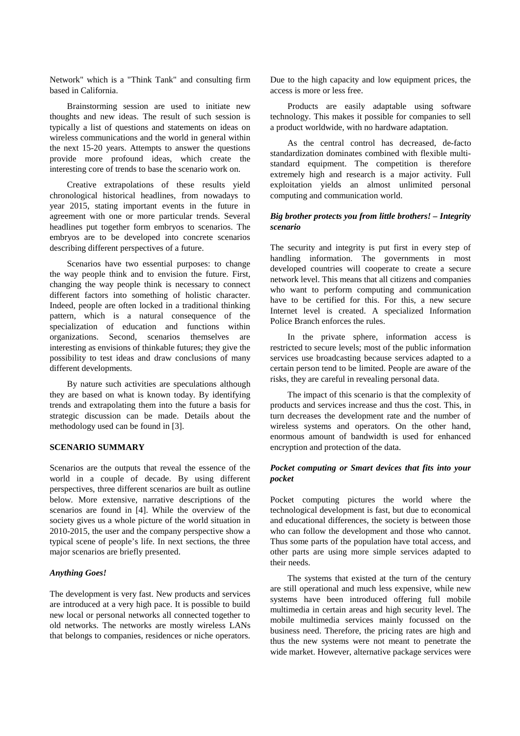Network" which is a "Think Tank" and consulting firm based in California.

Brainstorming session are used to initiate new thoughts and new ideas. The result of such session is typically a list of questions and statements on ideas on wireless communications and the world in general within the next 15-20 years. Attempts to answer the questions provide more profound ideas, which create the interesting core of trends to base the scenario work on.

Creative extrapolations of these results yield chronological historical headlines, from nowadays to year 2015, stating important events in the future in agreement with one or more particular trends. Several headlines put together form embryos to scenarios. The embryos are to be developed into concrete scenarios describing different perspectives of a future.

Scenarios have two essential purposes: to change the way people think and to envision the future. First, changing the way people think is necessary to connect different factors into something of holistic character. Indeed, people are often locked in a traditional thinking pattern, which is a natural consequence of the specialization of education and functions within organizations. Second, scenarios themselves are interesting as envisions of thinkable futures; they give the possibility to test ideas and draw conclusions of many different developments.

By nature such activities are speculations although they are based on what is known today. By identifying trends and extrapolating them into the future a basis for strategic discussion can be made. Details about the methodology used can be found in [3].

## **SCENARIO SUMMARY**

Scenarios are the outputs that reveal the essence of the world in a couple of decade. By using different perspectives, three different scenarios are built as outline below. More extensive, narrative descriptions of the scenarios are found in [4]. While the overview of the society gives us a whole picture of the world situation in 2010-2015, the user and the company perspective show a typical scene of people's life. In next sections, the three major scenarios are briefly presented.

#### *Anything Goes!*

The development is very fast. New products and services are introduced at a very high pace. It is possible to build new local or personal networks all connected together to old networks. The networks are mostly wireless LANs that belongs to companies, residences or niche operators.

Due to the high capacity and low equipment prices, the access is more or less free.

Products are easily adaptable using software technology. This makes it possible for companies to sell a product worldwide, with no hardware adaptation.

As the central control has decreased, de-facto standardization dominates combined with flexible multistandard equipment. The competition is therefore extremely high and research is a major activity. Full exploitation yields an almost unlimited personal computing and communication world.

## *Big brother protects you from little brothers! – Integrity scenario*

The security and integrity is put first in every step of handling information. The governments in most developed countries will cooperate to create a secure network level. This means that all citizens and companies who want to perform computing and communication have to be certified for this. For this, a new secure Internet level is created. A specialized Information Police Branch enforces the rules.

In the private sphere, information access is restricted to secure levels; most of the public information services use broadcasting because services adapted to a certain person tend to be limited. People are aware of the risks, they are careful in revealing personal data.

The impact of this scenario is that the complexity of products and services increase and thus the cost. This, in turn decreases the development rate and the number of wireless systems and operators. On the other hand, enormous amount of bandwidth is used for enhanced encryption and protection of the data.

#### *Pocket computing or Smart devices that fits into your pocket*

Pocket computing pictures the world where the technological development is fast, but due to economical and educational differences, the society is between those who can follow the development and those who cannot. Thus some parts of the population have total access, and other parts are using more simple services adapted to their needs.

The systems that existed at the turn of the century are still operational and much less expensive, while new systems have been introduced offering full mobile multimedia in certain areas and high security level. The mobile multimedia services mainly focussed on the business need. Therefore, the pricing rates are high and thus the new systems were not meant to penetrate the wide market. However, alternative package services were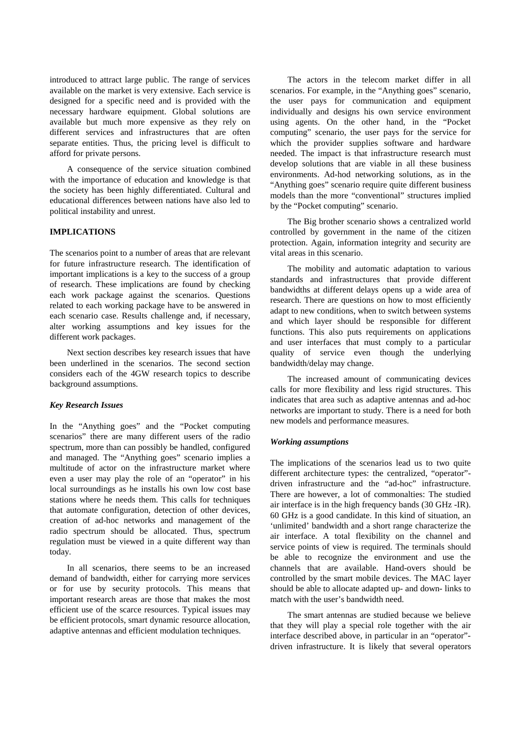introduced to attract large public. The range of services available on the market is very extensive. Each service is designed for a specific need and is provided with the necessary hardware equipment. Global solutions are available but much more expensive as they rely on different services and infrastructures that are often separate entities. Thus, the pricing level is difficult to afford for private persons.

A consequence of the service situation combined with the importance of education and knowledge is that the society has been highly differentiated. Cultural and educational differences between nations have also led to political instability and unrest.

## **IMPLICATIONS**

The scenarios point to a number of areas that are relevant for future infrastructure research. The identification of important implications is a key to the success of a group of research. These implications are found by checking each work package against the scenarios. Questions related to each working package have to be answered in each scenario case. Results challenge and, if necessary, alter working assumptions and key issues for the different work packages.

Next section describes key research issues that have been underlined in the scenarios. The second section considers each of the 4GW research topics to describe background assumptions.

## *Key Research Issues*

In the "Anything goes" and the "Pocket computing scenarios" there are many different users of the radio spectrum, more than can possibly be handled, configured and managed. The "Anything goes" scenario implies a multitude of actor on the infrastructure market where even a user may play the role of an "operator" in his local surroundings as he installs his own low cost base stations where he needs them. This calls for techniques that automate configuration, detection of other devices, creation of ad-hoc networks and management of the radio spectrum should be allocated. Thus, spectrum regulation must be viewed in a quite different way than today.

In all scenarios, there seems to be an increased demand of bandwidth, either for carrying more services or for use by security protocols. This means that important research areas are those that makes the most efficient use of the scarce resources. Typical issues may be efficient protocols, smart dynamic resource allocation, adaptive antennas and efficient modulation techniques.

The actors in the telecom market differ in all scenarios. For example, in the "Anything goes" scenario, the user pays for communication and equipment individually and designs his own service environment using agents. On the other hand, in the "Pocket computing" scenario, the user pays for the service for which the provider supplies software and hardware needed. The impact is that infrastructure research must develop solutions that are viable in all these business environments. Ad-hod networking solutions, as in the "Anything goes" scenario require quite different business models than the more "conventional" structures implied by the "Pocket computing" scenario.

The Big brother scenario shows a centralized world controlled by government in the name of the citizen protection. Again, information integrity and security are vital areas in this scenario.

The mobility and automatic adaptation to various standards and infrastructures that provide different bandwidths at different delays opens up a wide area of research. There are questions on how to most efficiently adapt to new conditions, when to switch between systems and which layer should be responsible for different functions. This also puts requirements on applications and user interfaces that must comply to a particular quality of service even though the underlying bandwidth/delay may change.

The increased amount of communicating devices calls for more flexibility and less rigid structures. This indicates that area such as adaptive antennas and ad-hoc networks are important to study. There is a need for both new models and performance measures.

#### *Working assumptions*

The implications of the scenarios lead us to two quite different architecture types: the centralized, "operator" driven infrastructure and the "ad-hoc" infrastructure. There are however, a lot of commonalties: The studied air interface is in the high frequency bands (30 GHz -IR). 60 GHz is a good candidate. In this kind of situation, an 'unlimited' bandwidth and a short range characterize the air interface. A total flexibility on the channel and service points of view is required. The terminals should be able to recognize the environment and use the channels that are available. Hand-overs should be controlled by the smart mobile devices. The MAC layer should be able to allocate adapted up- and down- links to match with the user's bandwidth need.

The smart antennas are studied because we believe that they will play a special role together with the air interface described above, in particular in an "operator" driven infrastructure. It is likely that several operators